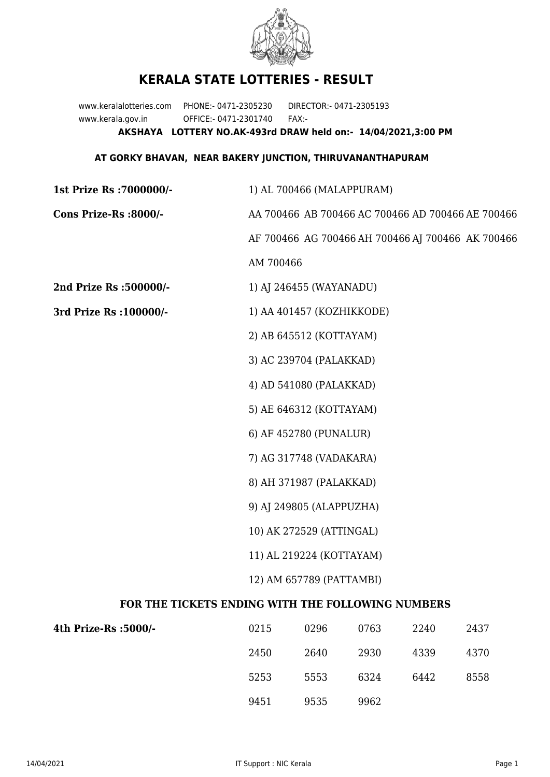

## **KERALA STATE LOTTERIES - RESULT**

www.keralalotteries.com PHONE:- 0471-2305230 DIRECTOR:- 0471-2305193 www.kerala.gov.in OFFICE:- 0471-2301740 FAX:- **AKSHAYA LOTTERY NO.AK-493rd DRAW held on:- 14/04/2021,3:00 PM**

## **AT GORKY BHAVAN, NEAR BAKERY JUNCTION, THIRUVANANTHAPURAM**

| 1st Prize Rs: 7000000/-                           | 1) AL 700466 (MALAPPURAM)                         |                         |      |      |                                                   |  |
|---------------------------------------------------|---------------------------------------------------|-------------------------|------|------|---------------------------------------------------|--|
| Cons Prize-Rs :8000/-                             | AA 700466 AB 700466 AC 700466 AD 700466 AE 700466 |                         |      |      |                                                   |  |
|                                                   |                                                   |                         |      |      | AF 700466 AG 700466 AH 700466 AJ 700466 AK 700466 |  |
|                                                   | AM 700466                                         |                         |      |      |                                                   |  |
| 2nd Prize Rs :500000/-                            |                                                   | 1) AJ 246455 (WAYANADU) |      |      |                                                   |  |
| 3rd Prize Rs : 100000/-                           | 1) AA 401457 (KOZHIKKODE)                         |                         |      |      |                                                   |  |
|                                                   |                                                   | 2) AB 645512 (KOTTAYAM) |      |      |                                                   |  |
|                                                   |                                                   | 3) AC 239704 (PALAKKAD) |      |      |                                                   |  |
|                                                   | 4) AD 541080 (PALAKKAD)                           |                         |      |      |                                                   |  |
|                                                   |                                                   | 5) AE 646312 (KOTTAYAM) |      |      |                                                   |  |
|                                                   |                                                   | 6) AF 452780 (PUNALUR)  |      |      |                                                   |  |
|                                                   | 7) AG 317748 (VADAKARA)                           |                         |      |      |                                                   |  |
|                                                   | 8) AH 371987 (PALAKKAD)                           |                         |      |      |                                                   |  |
|                                                   | 9) AJ 249805 (ALAPPUZHA)                          |                         |      |      |                                                   |  |
|                                                   | 10) AK 272529 (ATTINGAL)                          |                         |      |      |                                                   |  |
|                                                   | 11) AL 219224 (KOTTAYAM)                          |                         |      |      |                                                   |  |
|                                                   | 12) AM 657789 (PATTAMBI)                          |                         |      |      |                                                   |  |
| FOR THE TICKETS ENDING WITH THE FOLLOWING NUMBERS |                                                   |                         |      |      |                                                   |  |
| 4th Prize-Rs : 5000/-                             | 0215                                              | 0296                    | 0763 | 2240 | 2437                                              |  |

| )/- | 0215 | 0296 | 0763 | 2240 | 2437 |
|-----|------|------|------|------|------|
|     | 2450 | 2640 | 2930 | 4339 | 4370 |
|     | 5253 | 5553 | 6324 | 6442 | 8558 |
|     | 9451 | 9535 | 9962 |      |      |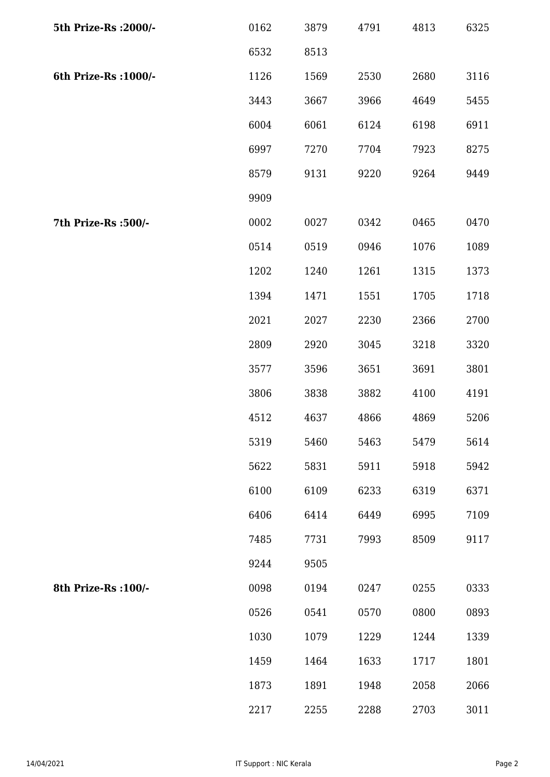| 5th Prize-Rs : 2000/- | 0162 | 3879 | 4791 | 4813 | 6325 |
|-----------------------|------|------|------|------|------|
|                       | 6532 | 8513 |      |      |      |
| 6th Prize-Rs : 1000/- | 1126 | 1569 | 2530 | 2680 | 3116 |
|                       | 3443 | 3667 | 3966 | 4649 | 5455 |
|                       | 6004 | 6061 | 6124 | 6198 | 6911 |
|                       | 6997 | 7270 | 7704 | 7923 | 8275 |
|                       | 8579 | 9131 | 9220 | 9264 | 9449 |
|                       | 9909 |      |      |      |      |
| 7th Prize-Rs : 500/-  | 0002 | 0027 | 0342 | 0465 | 0470 |
|                       | 0514 | 0519 | 0946 | 1076 | 1089 |
|                       | 1202 | 1240 | 1261 | 1315 | 1373 |
|                       | 1394 | 1471 | 1551 | 1705 | 1718 |
|                       | 2021 | 2027 | 2230 | 2366 | 2700 |
|                       | 2809 | 2920 | 3045 | 3218 | 3320 |
|                       | 3577 | 3596 | 3651 | 3691 | 3801 |
|                       | 3806 | 3838 | 3882 | 4100 | 4191 |
|                       | 4512 | 4637 | 4866 | 4869 | 5206 |
|                       | 5319 | 5460 | 5463 | 5479 | 5614 |
|                       | 5622 | 5831 | 5911 | 5918 | 5942 |
|                       | 6100 | 6109 | 6233 | 6319 | 6371 |
|                       | 6406 | 6414 | 6449 | 6995 | 7109 |
|                       | 7485 | 7731 | 7993 | 8509 | 9117 |
|                       | 9244 | 9505 |      |      |      |
| 8th Prize-Rs : 100/-  | 0098 | 0194 | 0247 | 0255 | 0333 |
|                       | 0526 | 0541 | 0570 | 0800 | 0893 |
|                       | 1030 | 1079 | 1229 | 1244 | 1339 |
|                       | 1459 | 1464 | 1633 | 1717 | 1801 |
|                       | 1873 | 1891 | 1948 | 2058 | 2066 |
|                       | 2217 | 2255 | 2288 | 2703 | 3011 |